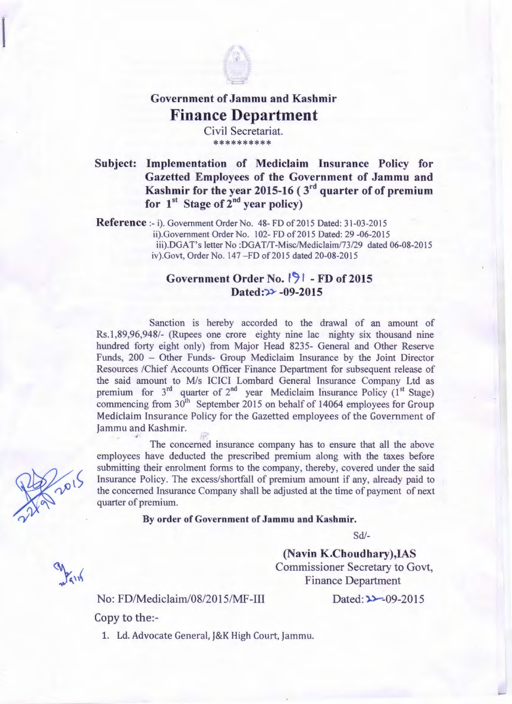

## Government of Jammu and Kashmir **Finance Department**

Civil Secretariat. \*\*\*\*\*\*\*\*\*\*

Subject: Implementation of Mediclaim Insurance Policy for Gazetted Employees of the Government of Jammu and Kashmir for the year 2015-16 ( $3<sup>rd</sup>$  quarter of of premium for  $1<sup>st</sup>$  Stage of  $2<sup>nd</sup>$  year policy)

Reference :- i). Government Order No. 48- FD of 2015 Dated: 31-03-2015 ii).Government Order No. 102- FD of 2015 Dated: 29 -06-2015 iii).DGA T's letter No :DGAT/T-Misc/Mediclaim/73/29 dated 06-08-2015 iv).Govt, Order No. 147 - FD of 2015 dated 20-08-2015

## Government Order No. <sup>[9]</sup> - FD of 2015 Dated: $\rightarrow$  -09-2015

Sanction is hereby accorded to the drawal of an amount of Rs.1 ,89,96,948/- (Rupees one crore eighty nine lac nighty six thousand nine hundred forty eight only) from Major Head 8235- General and Other Reserve Funds, 200 - Other Funds- Group Mediclaim Insurance by the Joint Director Resources /Chief Accounts Officer Finance Department for subsequent release of the said amount to M/s ICICI Lombard General Insurance Company Ltd as premium for  $3<sup>rd</sup>$  quarter of  $2<sup>nd</sup>$  year Mediclaim Insurance Policy (1<sup>st</sup> Stage) commencing from  $30<sup>th</sup>$  September 2015 on behalf of 14064 employees for Group Mediclaim Insurance Policy for the Gazetted employees of the Government of Jammu and Kashmir. ti

The concerned insurance company has to ensure that all the above employees have deducted the prescribed premium along with the taxes before submitting their enrolment forms to the company, thereby, covered under the said Insurance Policy. The excess/shortfall of premium amount if any, already paid to the concerned Insurance Company shall be adjusted at the time of payment of next quarter of premium.

## By order of Government of Jammu and Kashmir.

Sd/-

(Navin K.Choudhary),IAS Commissioner Secretary to Govt, Finance Department

No: FD/Mediclaim/08/2015/MF-III

 $Dated: 22 - 09 - 2015$ 

Copy to the:-

1. Ld. Advocate General, J&K High Court, Jammu.

2015

Pain

 $\int$